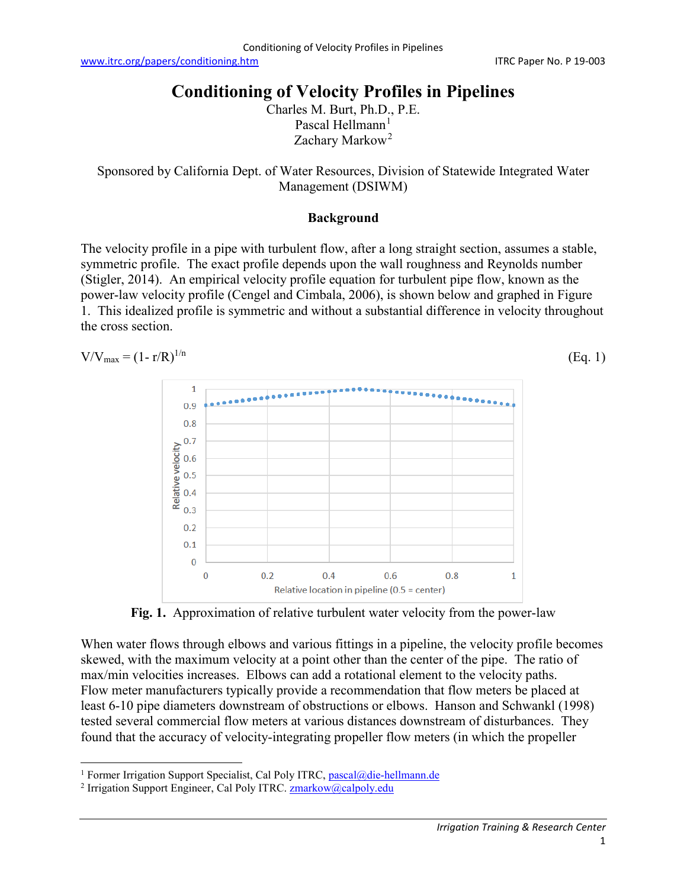[www.itrc.org/papers/conditioning.htm](http://www.itrc.org/papers/conditioning.htm) ITRC Paper No. P 19-003

# **Conditioning of Velocity Profiles in Pipelines**

Charles M. Burt, Ph.D., P.E. Pascal Hellmann $<sup>1</sup>$  $<sup>1</sup>$  $<sup>1</sup>$ </sup> Zachary Markow<sup>[2](#page-0-1)</sup>

Sponsored by California Dept. of Water Resources, Division of Statewide Integrated Water Management (DSIWM)

### **Background**

The velocity profile in a pipe with turbulent flow, after a long straight section, assumes a stable, symmetric profile. The exact profile depends upon the wall roughness and Reynolds number (Stigler, 2014). An empirical velocity profile equation for turbulent pipe flow, known as the power-law velocity profile (Cengel and Cimbala, 2006), is shown below and graphed in Figure 1. This idealized profile is symmetric and without a substantial difference in velocity throughout the cross section.

$$
V/V_{\text{max}} = (1 - r/R)^{1/n}
$$
 (Eq. 1)



**Fig. 1.** Approximation of relative turbulent water velocity from the power-law

When water flows through elbows and various fittings in a pipeline, the velocity profile becomes skewed, with the maximum velocity at a point other than the center of the pipe. The ratio of max/min velocities increases. Elbows can add a rotational element to the velocity paths. Flow meter manufacturers typically provide a recommendation that flow meters be placed at least 6-10 pipe diameters downstream of obstructions or elbows. Hanson and Schwankl (1998) tested several commercial flow meters at various distances downstream of disturbances. They found that the accuracy of velocity-integrating propeller flow meters (in which the propeller

<span id="page-0-0"></span><sup>&</sup>lt;sup>1</sup> Former Irrigation Support Specialist, Cal Poly ITRC, [pascal@die-hellmann.de](mailto:pascal@die-hellmann.de)

<span id="page-0-1"></span><sup>&</sup>lt;sup>2</sup> Irrigation Support Engineer, Cal Poly ITRC. **zmarkow@calpoly.edu**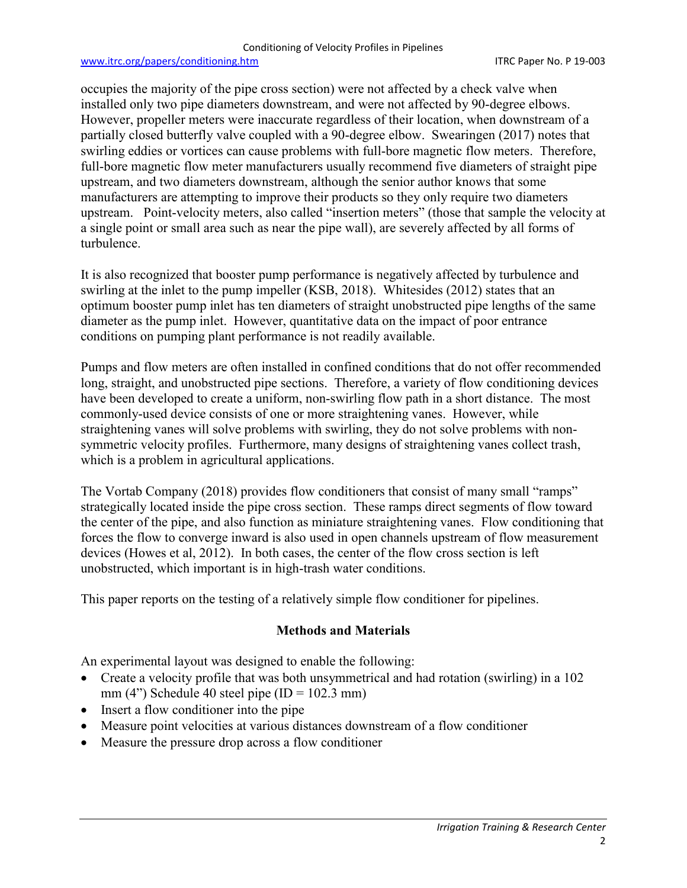#### Conditioning of Velocity Profiles in Pipelines

#### [www.itrc.org/papers/conditioning.htm](http://www.itrc.org/papers/conditioning.htm) ITRC Paper No. P 19-003

occupies the majority of the pipe cross section) were not affected by a check valve when installed only two pipe diameters downstream, and were not affected by 90-degree elbows. However, propeller meters were inaccurate regardless of their location, when downstream of a partially closed butterfly valve coupled with a 90-degree elbow. Swearingen (2017) notes that swirling eddies or vortices can cause problems with full-bore magnetic flow meters. Therefore, full-bore magnetic flow meter manufacturers usually recommend five diameters of straight pipe upstream, and two diameters downstream, although the senior author knows that some manufacturers are attempting to improve their products so they only require two diameters upstream. Point-velocity meters, also called "insertion meters" (those that sample the velocity at a single point or small area such as near the pipe wall), are severely affected by all forms of turbulence.

It is also recognized that booster pump performance is negatively affected by turbulence and swirling at the inlet to the pump impeller (KSB, 2018). Whitesides (2012) states that an optimum booster pump inlet has ten diameters of straight unobstructed pipe lengths of the same diameter as the pump inlet. However, quantitative data on the impact of poor entrance conditions on pumping plant performance is not readily available.

Pumps and flow meters are often installed in confined conditions that do not offer recommended long, straight, and unobstructed pipe sections. Therefore, a variety of flow conditioning devices have been developed to create a uniform, non-swirling flow path in a short distance. The most commonly-used device consists of one or more straightening vanes. However, while straightening vanes will solve problems with swirling, they do not solve problems with nonsymmetric velocity profiles. Furthermore, many designs of straightening vanes collect trash, which is a problem in agricultural applications.

The Vortab Company (2018) provides flow conditioners that consist of many small "ramps" strategically located inside the pipe cross section. These ramps direct segments of flow toward the center of the pipe, and also function as miniature straightening vanes. Flow conditioning that forces the flow to converge inward is also used in open channels upstream of flow measurement devices (Howes et al, 2012). In both cases, the center of the flow cross section is left unobstructed, which important is in high-trash water conditions.

This paper reports on the testing of a relatively simple flow conditioner for pipelines.

# **Methods and Materials**

An experimental layout was designed to enable the following:

- Create a velocity profile that was both unsymmetrical and had rotation (swirling) in a 102 mm (4") Schedule 40 steel pipe ( $ID = 102.3$  mm)
- Insert a flow conditioner into the pipe
- Measure point velocities at various distances downstream of a flow conditioner
- Measure the pressure drop across a flow conditioner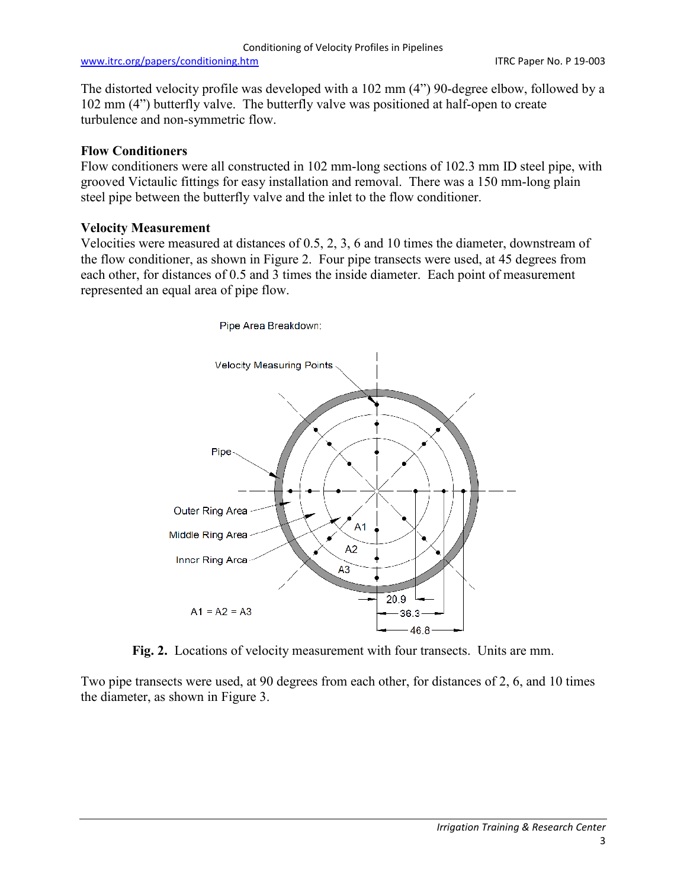#### [www.itrc.org/papers/conditioning.htm](http://www.itrc.org/papers/conditioning.htm) ITRC Paper No. P 19-003

The distorted velocity profile was developed with a 102 mm (4") 90-degree elbow, followed by a 102 mm (4") butterfly valve. The butterfly valve was positioned at half-open to create turbulence and non-symmetric flow.

# **Flow Conditioners**

Flow conditioners were all constructed in 102 mm-long sections of 102.3 mm ID steel pipe, with grooved Victaulic fittings for easy installation and removal. There was a 150 mm-long plain steel pipe between the butterfly valve and the inlet to the flow conditioner.

# **Velocity Measurement**

Velocities were measured at distances of 0.5, 2, 3, 6 and 10 times the diameter, downstream of the flow conditioner, as shown in Figure 2. Four pipe transects were used, at 45 degrees from each other, for distances of 0.5 and 3 times the inside diameter. Each point of measurement represented an equal area of pipe flow.



**Fig. 2.** Locations of velocity measurement with four transects. Units are mm.

Two pipe transects were used, at 90 degrees from each other, for distances of 2, 6, and 10 times the diameter, as shown in Figure 3.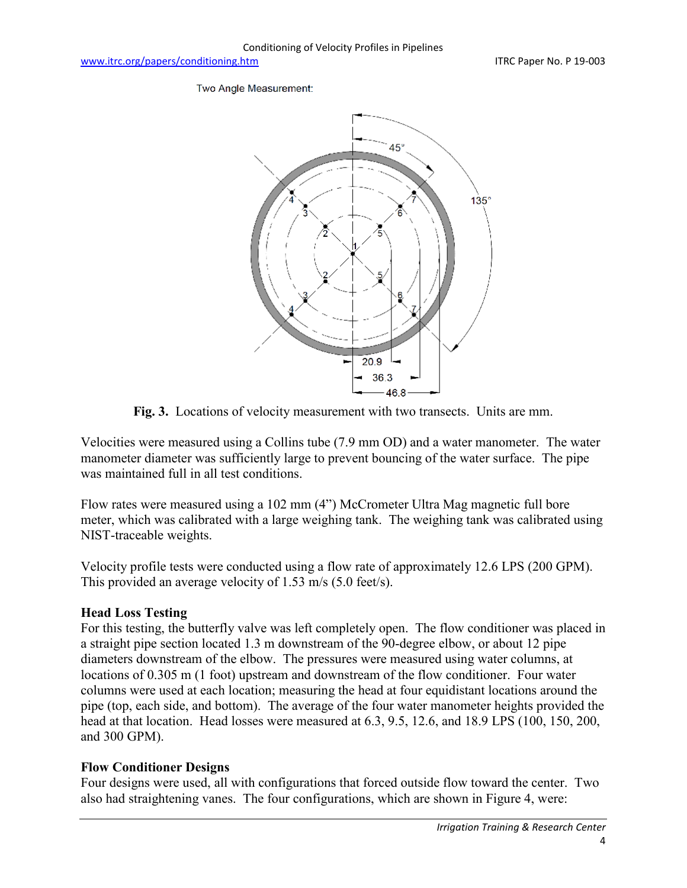Two Angle Measurement:



**Fig. 3.** Locations of velocity measurement with two transects. Units are mm.

Velocities were measured using a Collins tube (7.9 mm OD) and a water manometer. The water manometer diameter was sufficiently large to prevent bouncing of the water surface. The pipe was maintained full in all test conditions.

Flow rates were measured using a 102 mm (4") McCrometer Ultra Mag magnetic full bore meter, which was calibrated with a large weighing tank. The weighing tank was calibrated using NIST-traceable weights.

Velocity profile tests were conducted using a flow rate of approximately 12.6 LPS (200 GPM). This provided an average velocity of 1.53 m/s (5.0 feet/s).

# **Head Loss Testing**

For this testing, the butterfly valve was left completely open. The flow conditioner was placed in a straight pipe section located 1.3 m downstream of the 90-degree elbow, or about 12 pipe diameters downstream of the elbow. The pressures were measured using water columns, at locations of 0.305 m (1 foot) upstream and downstream of the flow conditioner. Four water columns were used at each location; measuring the head at four equidistant locations around the pipe (top, each side, and bottom). The average of the four water manometer heights provided the head at that location. Head losses were measured at 6.3, 9.5, 12.6, and 18.9 LPS (100, 150, 200, and 300 GPM).

### **Flow Conditioner Designs**

Four designs were used, all with configurations that forced outside flow toward the center. Two also had straightening vanes. The four configurations, which are shown in Figure 4, were: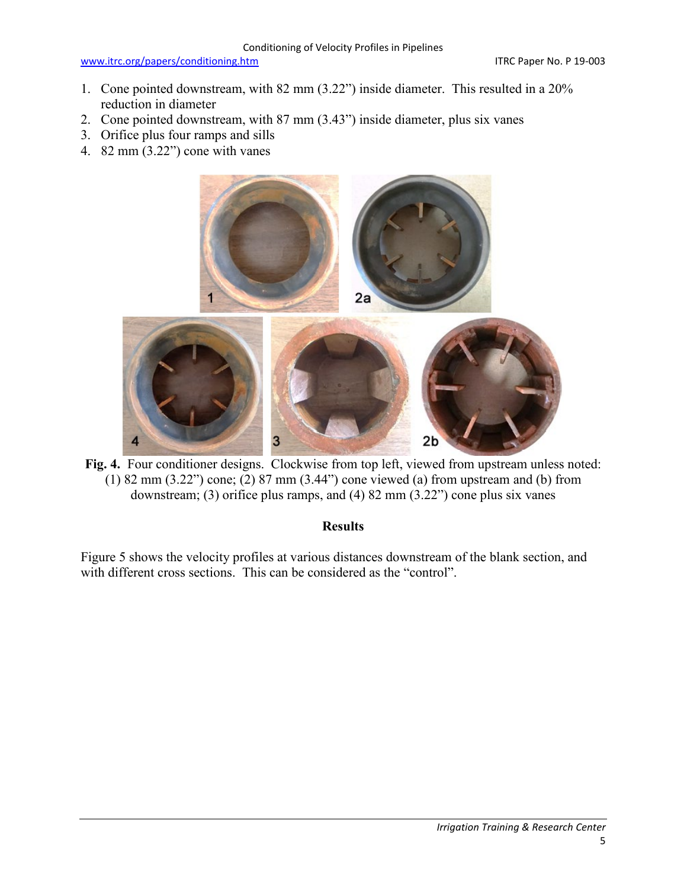- 1. Cone pointed downstream, with 82 mm (3.22") inside diameter. This resulted in a 20% reduction in diameter
- 2. Cone pointed downstream, with 87 mm (3.43") inside diameter, plus six vanes
- 3. Orifice plus four ramps and sills
- 4. 82 mm (3.22") cone with vanes



Fig. 4. Four conditioner designs. Clockwise from top left, viewed from upstream unless noted: (1) 82 mm (3.22") cone;  $(2)$  87 mm (3.44") cone viewed (a) from upstream and (b) from downstream; (3) orifice plus ramps, and (4) 82 mm (3.22") cone plus six vanes

### **Results**

Figure 5 shows the velocity profiles at various distances downstream of the blank section, and with different cross sections. This can be considered as the "control".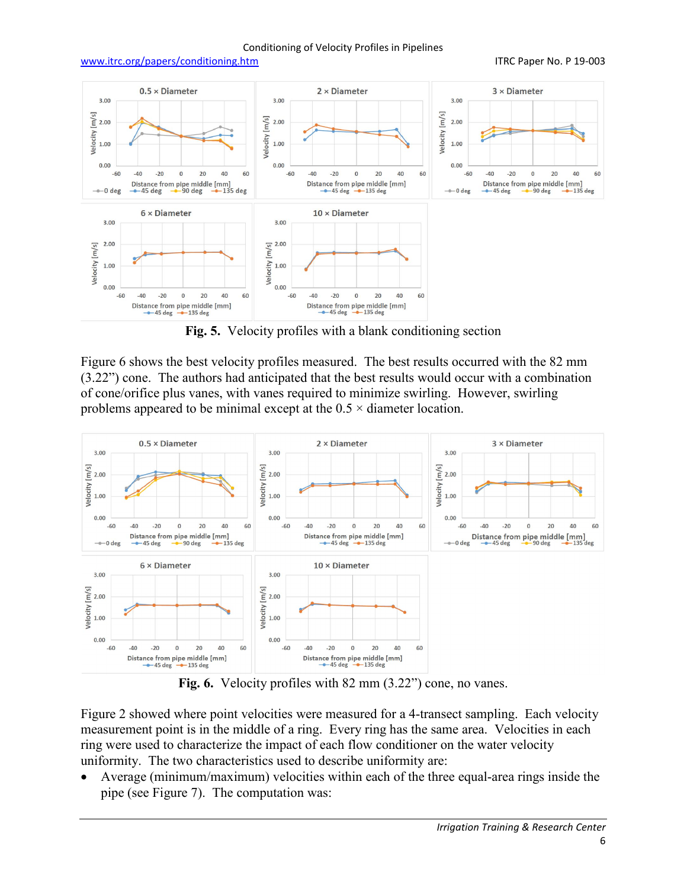#### Conditioning of Velocity Profiles in Pipelines

#### [www.itrc.org/papers/conditioning.htm](http://www.itrc.org/papers/conditioning.htm) ITRC Paper No. P 19-003



**Fig. 5.** Velocity profiles with a blank conditioning section

Figure 6 shows the best velocity profiles measured. The best results occurred with the 82 mm (3.22") cone. The authors had anticipated that the best results would occur with a combination of cone/orifice plus vanes, with vanes required to minimize swirling. However, swirling problems appeared to be minimal except at the  $0.5 \times$  diameter location.



**Fig. 6.** Velocity profiles with 82 mm (3.22") cone, no vanes.

Figure 2 showed where point velocities were measured for a 4-transect sampling. Each velocity measurement point is in the middle of a ring. Every ring has the same area. Velocities in each ring were used to characterize the impact of each flow conditioner on the water velocity uniformity. The two characteristics used to describe uniformity are:

• Average (minimum/maximum) velocities within each of the three equal-area rings inside the pipe (see Figure 7). The computation was: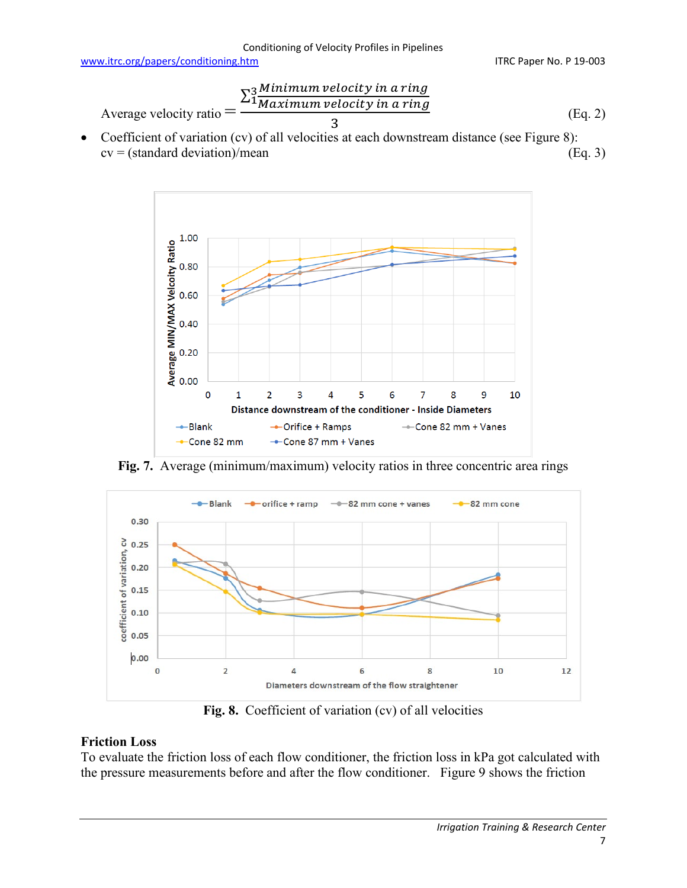Average velocity ratio = 
$$
\frac{\sum_{i=1}^{3} \frac{Minimum \ velocity in a ring}{Maximum \ velocity in a ring}}{3}
$$
 (Eq. 2)

• Coefficient of variation (cv) of all velocities at each downstream distance (see Figure 8):  $cv = (standard deviation)/mean$  (Eq. 3)



**Fig. 7.** Average (minimum/maximum) velocity ratios in three concentric area rings



Fig. 8. Coefficient of variation (cv) of all velocities

# **Friction Loss**

To evaluate the friction loss of each flow conditioner, the friction loss in kPa got calculated with the pressure measurements before and after the flow conditioner. Figure 9 shows the friction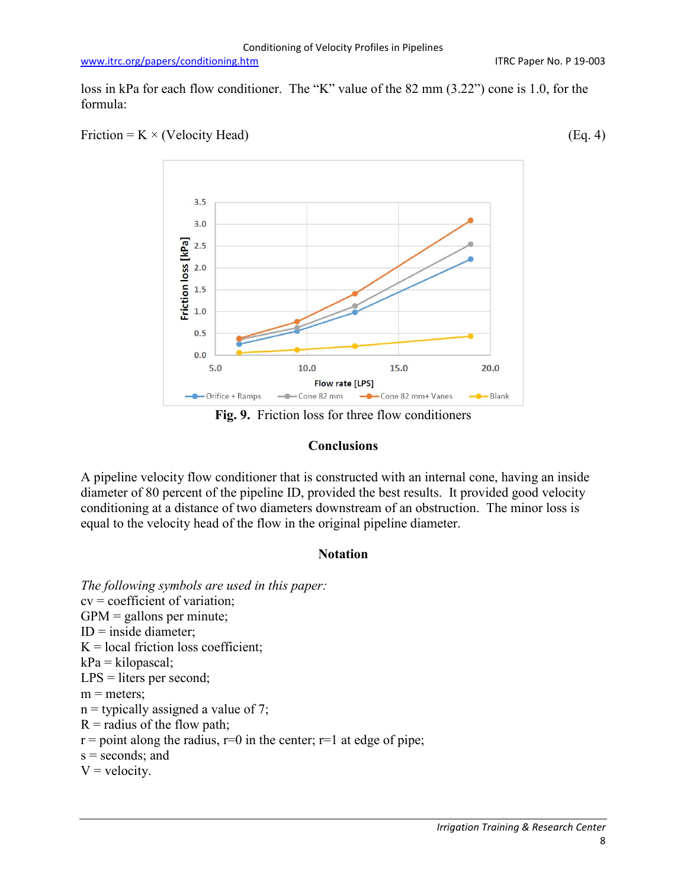loss in kPa for each flow conditioner. The "K" value of the 82 mm (3.22") cone is 1.0, for the formula:





**Fig. 9.** Friction loss for three flow conditioners

### **Conclusions**

A pipeline velocity flow conditioner that is constructed with an internal cone, having an inside diameter of 80 percent of the pipeline ID, provided the best results. It provided good velocity conditioning at a distance of two diameters downstream of an obstruction. The minor loss is equal to the velocity head of the flow in the original pipeline diameter.

### **Notation**

*The following symbols are used in this paper:* cv = coefficient of variation;  $GPM =$  gallons per minute;  $ID = inside diameter$ :  $K =$ local friction loss coefficient;  $kPa = kilopascal;$ LPS = liters per second;  $m$  = meters:  $n =$  typically assigned a value of 7;  $R$  = radius of the flow path;  $r =$  point along the radius,  $r=0$  in the center;  $r=1$  at edge of pipe;  $s =$  seconds; and  $V = velocity.$